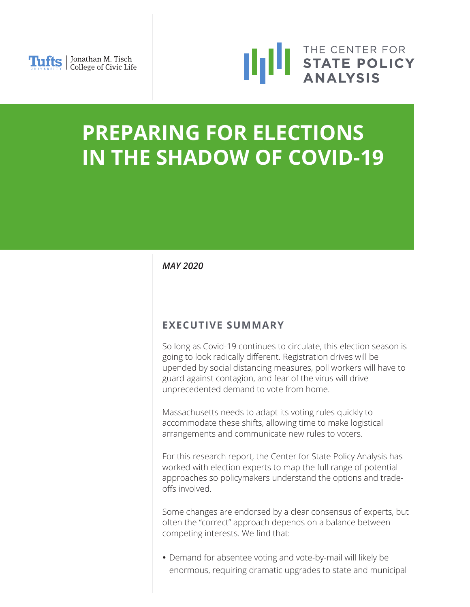



# **PREPARING FOR ELECTIONS IN THE SHADOW OF COVID-19**

# *MAY 2020*

# **EXECUTIVE SUMMARY**

So long as Covid-19 continues to circulate, this election season is going to look radically different. Registration drives will be upended by social distancing measures, poll workers will have to guard against contagion, and fear of the virus will drive unprecedented demand to vote from home.

Massachusetts needs to adapt its voting rules quickly to accommodate these shifts, allowing time to make logistical arrangements and communicate new rules to voters.

For this research report, the Center for State Policy Analysis has worked with election experts to map the full range of potential approaches so policymakers understand the options and tradeoffs involved.

Some changes are endorsed by a clear consensus of experts, but often the "correct" approach depends on a balance between competing interests. We find that:

 Demand for absentee voting and vote-by-mail will likely be enormous, requiring dramatic upgrades to state and municipal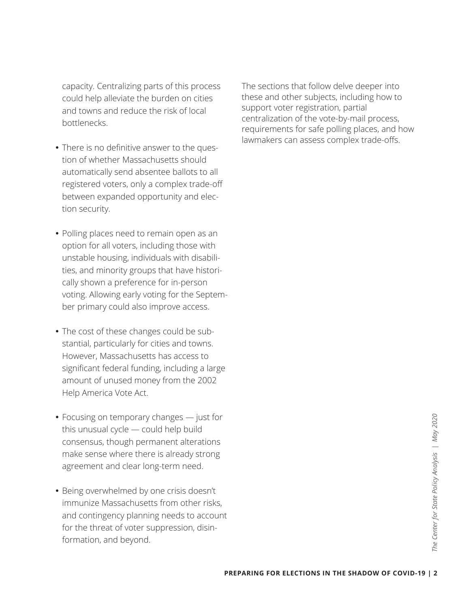capacity. Centralizing parts of this process could help alleviate the burden on cities and towns and reduce the risk of local bottlenecks.

- There is no definitive answer to the question of whether Massachusetts should automatically send absentee ballots to all registered voters, only a complex trade-off between expanded opportunity and election security.
- Polling places need to remain open as an option for all voters, including those with unstable housing, individuals with disabilities, and minority groups that have historically shown a preference for in-person voting. Allowing early voting for the September primary could also improve access.
- The cost of these changes could be substantial, particularly for cities and towns. However, Massachusetts has access to significant federal funding, including a large amount of unused money from the 2002 Help America Vote Act.
- Focusing on temporary changes just for this unusual cycle — could help build consensus, though permanent alterations make sense where there is already strong agreement and clear long-term need.
- Being overwhelmed by one crisis doesn't immunize Massachusetts from other risks, and contingency planning needs to account for the threat of voter suppression, disinformation, and beyond.

The sections that follow delve deeper into these and other subjects, including how to support voter registration, partial centralization of the vote-by-mail process, requirements for safe polling places, and how lawmakers can assess complex trade-offs.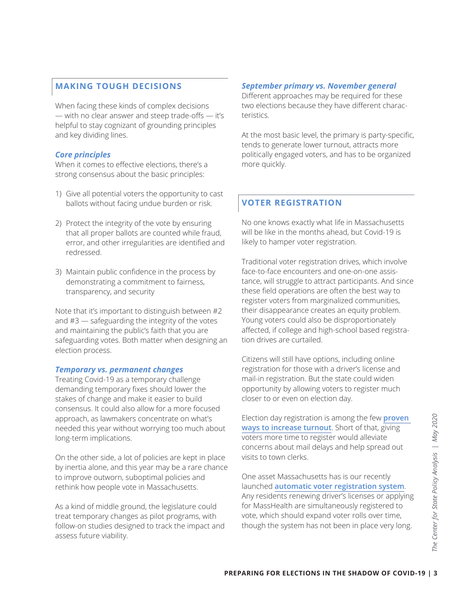# **MAKING TOUGH DECISIONS**

When facing these kinds of complex decisions — with no clear answer and steep trade-offs — it's helpful to stay cognizant of grounding principles and key dividing lines.

### *Core principles*

When it comes to effective elections, there's a strong consensus about the basic principles:

- 1) Give all potential voters the opportunity to cast ballots without facing undue burden or risk.
- 2) Protect the integrity of the vote by ensuring that all proper ballots are counted while fraud, error, and other irregularities are identified and redressed.
- 3) Maintain public confidence in the process by demonstrating a commitment to fairness, transparency, and security

Note that it's important to distinguish between #2 and #3 — safeguarding the integrity of the votes and maintaining the public's faith that you are safeguarding votes. Both matter when designing an election process.

#### *Temporary vs. permanent changes*

Treating Covid-19 as a temporary challenge demanding temporary fixes should lower the stakes of change and make it easier to build consensus. It could also allow for a more focused approach, as lawmakers concentrate on what's needed this year without worrying too much about long-term implications.

On the other side, a lot of policies are kept in place by inertia alone, and this year may be a rare chance to improve outworn, suboptimal policies and rethink how people vote in Massachusetts.

As a kind of middle ground, the legislature could treat temporary changes as pilot programs, with follow-on studies designed to track the impact and assess future viability.

# *September primary vs. November general*

Different approaches may be required for these two elections because they have different characteristics.

At the most basic level, the primary is party-specific, tends to generate lower turnout, attracts more politically engaged voters, and has to be organized more quickly.

# **VOTER REGISTRATION**

No one knows exactly what life in Massachusetts will be like in the months ahead, but Covid-19 is likely to hamper voter registration.

Traditional voter registration drives, which involve face-to-face encounters and one-on-one assistance, will struggle to attract participants. And since these field operations are often the best way to register voters from marginalized communities, their disappearance creates an equity problem. Young voters could also be disproportionately affected, if college and high-school based registration drives are curtailed.

Citizens will still have options, including online registration for those with a driver's license and mail-in registration. But the state could widen opportunity by allowing voters to register much closer to or even on election day.

Election day registration is among the few **[proven](https://www.ncsl.org/research/elections-and-campaigns/same-day-registration.aspx)  [ways to increase turnout](https://www.ncsl.org/research/elections-and-campaigns/same-day-registration.aspx)**. Short of that, giving voters more time to register would alleviate concerns about mail delays and help spread out visits to town clerks.

**PREPARING FOR ELECTIONS IN THE SHADOW OF COVID-19 | 3<br>
PREPARING FOR ELECTIONS IN THE SHADOW OF COVID-19 | 3<br>
PREPARING FOR ELECTIONS IN THE SHADOW OF COVID-19 | 3<br>
PREPARING FOR ELECTIONS IN THE SHADOW OF COVID-19 | 3** One asset Massachusetts has is our recently launched **[automatic voter registration system](https://www.sec.state.ma.us/ele/eleavr/avridx.htm)**. Any residents renewing driver's licenses or applying for MassHealth are simultaneously registered to vote, which should expand voter rolls over time, though the system has not been in place very long.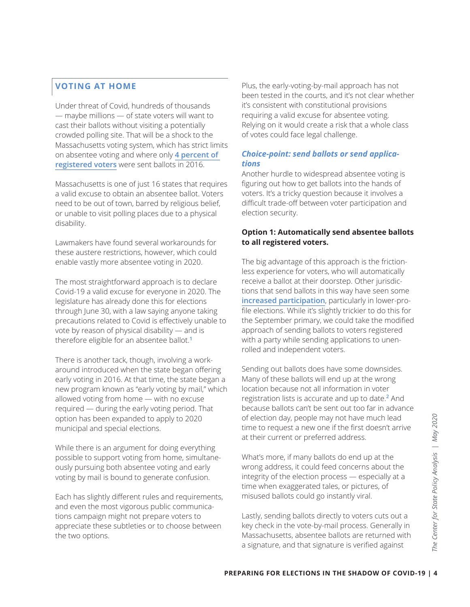# **VOTING AT HOME**

Under threat of Covid, hundreds of thousands — maybe millions — of state voters will want to cast their ballots without visiting a potentially crowded polling site. That will be a shock to the Massachusetts voting system, which has strict limits on absentee voting and where only **[4 percent of](https://fivethirtyeight.com/features/few-states-are-prepared-to-switch-to-voting-by-mail-that-could-make-for-a-messy-election/)  [registered voters](https://fivethirtyeight.com/features/few-states-are-prepared-to-switch-to-voting-by-mail-that-could-make-for-a-messy-election/)** were sent ballots in 2016.

Massachusetts is one of just 16 states that requires a valid excuse to obtain an absentee ballot. Voters need to be out of town, barred by religious belief, or unable to visit polling places due to a physical disability.

Lawmakers have found several workarounds for these austere restrictions, however, which could enable vastly more absentee voting in 2020.

The most straightforward approach is to declare Covid-19 a valid excuse for everyone in 2020. The legislature has already done this for elections through June 30, with a law saying anyone taking precautions related to Covid is effectively unable to vote by reason of physical disability — and is therefore eligible for an absentee ballot.**<sup>1</sup>**

There is another tack, though, involving a workaround introduced when the state began offering early voting in 2016. At that time, the state began a new program known as "early voting by mail," which allowed voting from home — with no excuse required — during the early voting period. That option has been expanded to apply to 2020 municipal and special elections.

While there is an argument for doing everything possible to support voting from home, simultaneously pursuing both absentee voting and early voting by mail is bound to generate confusion.

Each has slightly different rules and requirements, and even the most vigorous public communications campaign might not prepare voters to appreciate these subtleties or to choose between the two options.

Plus, the early-voting-by-mail approach has not been tested in the courts, and it's not clear whether it's consistent with constitutional provisions requiring a valid excuse for absentee voting. Relying on it would create a risk that a whole class of votes could face legal challenge.

### *Choice-point: send ballots or send applications*

Another hurdle to widespread absentee voting is figuring out how to get ballots into the hands of voters. It's a tricky question because it involves a difficult trade-off between voter participation and election security.

### **Option 1: Automatically send absentee ballots to all registered voters.**

The big advantage of this approach is the frictionless experience for voters, who will automatically receive a ballot at their doorstep. Other jurisdictions that send ballots in this way have seen some **[increased participation](https://electionlab.mit.edu/research/voting-mail-and-absentee-voting)**, particularly in lower-profile elections. While it's slightly trickier to do this for the September primary, we could take the modified approach of sending ballots to voters registered with a party while sending applications to unenrolled and independent voters.

Sending out ballots does have some downsides. Many of these ballots will end up at the wrong location because not all information in voter registration lists is accurate and up to date.**<sup>2</sup>** And because ballots can't be sent out too far in advance of election day, people may not have much lead time to request a new one if the first doesn't arrive at their current or preferred address.

of election day, people may not have much lead<br>
time to request a new one if the first doesn't arrive<br>
at their current or preferred address.<br>
What's more, if many ballots do end up at the<br>
wrong address, it could feed con What's more, if many ballots do end up at the wrong address, it could feed concerns about the integrity of the election process — especially at a time when exaggerated tales, or pictures, of misused ballots could go instantly viral.

Lastly, sending ballots directly to voters cuts out a key check in the vote-by-mail process. Generally in Massachusetts, absentee ballots are returned with a signature, and that signature is verified against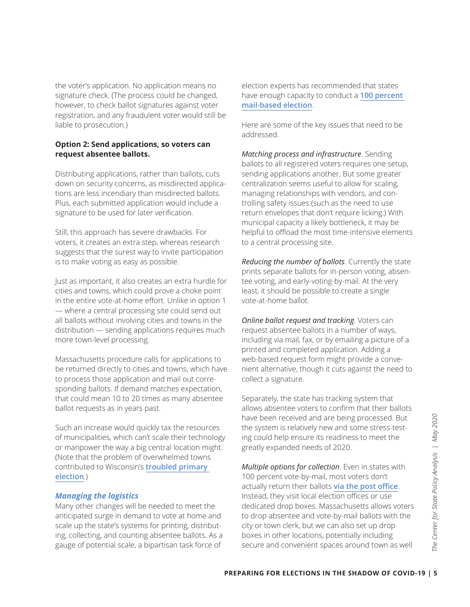the voter's application. No application means no signature check. (The process could be changed, however, to check ballot signatures against voter registration, and any fraudulent voter would still be liable to prosecution.)

#### **Option 2: Send applications, so voters can request absentee ballots.**

Distributing applications, rather than ballots, cuts down on security concerns, as misdirected applications are less incendiary than misdirected ballots. Plus, each submitted application would include a signature to be used for later verification.

Still, this approach has severe drawbacks. For voters, it creates an extra step, whereas research suggests that the surest way to invite participation is to make voting as easy as possible.

Just as important, it also creates an extra hurdle for cities and towns, which could prove a choke point in the entire vote-at-home effort. Unlike in option 1 — where a central processing site could send out all ballots without involving cities and towns in the distribution — sending applications requires much more town-level processing.

Massachusetts procedure calls for applications to be returned directly to cities and towns, which have to process those application and mail out corresponding ballots. If demand matches expectation, that could mean 10 to 20 times as many absentee ballot requests as in years past.

Such an increase would quickly tax the resources of municipalities, which can't scale their technology or manpower the way a big central location might. (Note that the problem of overwhelmed towns contributed to Wisconsin's **[troubled primary](https://www.nytimes.com/2020/04/09/us/politics/wisconsin-election-absentee-coronavirus.html)  [election](https://www.nytimes.com/2020/04/09/us/politics/wisconsin-election-absentee-coronavirus.html)**.)

#### *Managing the logistics*

Many other changes will be needed to meet the anticipated surge in demand to vote at home and scale up the state's systems for printing, distributing, collecting, and counting absentee ballots. As a gauge of potential scale, a bipartisan task force of

election experts has recommended that states have enough capacity to conduct a **[100 percent](https://static1.squarespace.com/static/5e70e52c7c72720ed714313f/t/5e9a2bbb56774a007cb56028/1587578501423/COVIDguidance)  [mail-based election](https://static1.squarespace.com/static/5e70e52c7c72720ed714313f/t/5e9a2bbb56774a007cb56028/1587578501423/COVIDguidance)**.

Here are some of the key issues that need to be addressed.

*Matching process and infrastructure*. Sending ballots to all registered voters requires one setup, sending applications another. But some greater centralization seems useful to allow for scaling, managing relationships with vendors, and controlling safety issues (such as the need to use return envelopes that don't require licking.) With municipal capacity a likely bottleneck, it may be helpful to offload the most time-intensive elements to a central processing site.

*Reducing the number of ballots*. Currently the state prints separate ballots for in-person voting, absentee voting, and early-voting-by-mail. At the very least, it should be possible to create a single vote-at-home ballot.

*Online ballot request and tracking*. Voters can request absentee ballots in a number of ways, including via mail, fax, or by emailing a picture of a printed and completed application. Adding a web-based request form might provide a convenient alternative, though it cuts against the need to collect a signature.

Separately, the state has tracking system that allows absentee voters to confirm that their ballots have been received and are being processed. But the system is relatively new and some stress-testing could help ensure its readiness to meet the greatly expanded needs of 2020.

have been received and are being processed. But<br>the system is relatively new and some stress-test-<br>ing could help ensure its readiness to meet the<br>greatly expanded needs of 2020.<br>**Multiple options for collection**. Even in *Multiple options for collection*. Even in states with 100 percent vote-by-mail, most voters don't actually return their ballots **[via the post office](https://www.brennancenter.org/our-work/research-reports/why-vote-mail-option-necessary)**. Instead, they visit local election offices or use dedicated drop boxes. Massachusetts allows voters to drop absentee and vote-by-mail ballots with the city or town clerk, but we can also set up drop boxes in other locations, potentially including secure and convenient spaces around town as well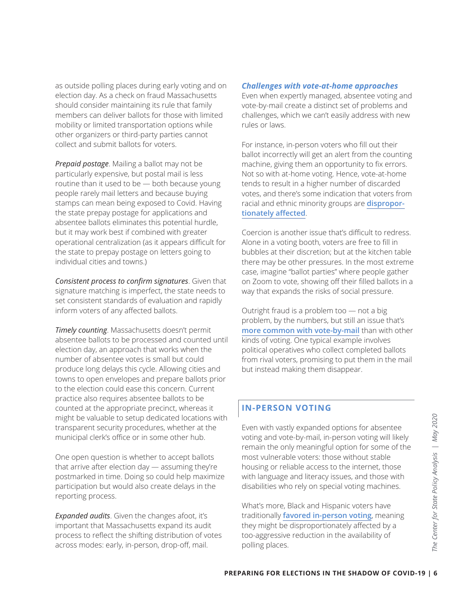as outside polling places during early voting and on election day. As a check on fraud Massachusetts should consider maintaining its rule that family members can deliver ballots for those with limited mobility or limited transportation options while other organizers or third-party parties cannot collect and submit ballots for voters.

*Prepaid postage*. Mailing a ballot may not be particularly expensive, but postal mail is less routine than it used to be — both because young people rarely mail letters and because buying stamps can mean being exposed to Covid. Having the state prepay postage for applications and absentee ballots eliminates this potential hurdle, but it may work best if combined with greater operational centralization (as it appears difficult for the state to prepay postage on letters going to individual cities and towns.)

*Consistent process to confirm signatures*. Given that signature matching is imperfect, the state needs to set consistent standards of evaluation and rapidly inform voters of any affected ballots.

*Timely counting*. Massachusetts doesn't permit absentee ballots to be processed and counted until election day, an approach that works when the number of absentee votes is small but could produce long delays this cycle. Allowing cities and towns to open envelopes and prepare ballots prior to the election could ease this concern. Current practice also requires absentee ballots to be counted at the appropriate precinct, whereas it might be valuable to setup dedicated locations with transparent security procedures, whether at the municipal clerk's office or in some other hub.

One open question is whether to accept ballots that arrive after election day — assuming they're postmarked in time. Doing so could help maximize participation but would also create delays in the reporting process.

*Expanded audits*. Given the changes afoot, it's important that Massachusetts expand its audit process to reflect the shifting distribution of votes across modes: early, in-person, drop-off, mail.

#### *Challenges with vote-at-home approaches*

Even when expertly managed, absentee voting and vote-by-mail create a distinct set of problems and challenges, which we can't easily address with new rules or laws.

For instance, in-person voters who fill out their ballot incorrectly will get an alert from the counting machine, giving them an opportunity to fix errors. Not so with at-home voting. Hence, vote-at-home tends to result in a higher number of discarded votes, and there's some indication that voters from racial and ethnic minority groups are **[dispropor](https://www.aclufl.org/sites/default/files/aclufl_-_vote_by_mail_-_report.pdf)[tionately affected](https://www.aclufl.org/sites/default/files/aclufl_-_vote_by_mail_-_report.pdf)**.

Coercion is another issue that's difficult to redress. Alone in a voting booth, voters are free to fill in bubbles at their discretion; but at the kitchen table there may be other pressures. In the most extreme case, imagine "ballot parties" where people gather on Zoom to vote, showing off their filled ballots in a way that expands the risks of social pressure.

Outright fraud is a problem too — not a big problem, by the numbers, but still an issue that's **[more common with vote-by-mail](http://web.mit.edu/supportthevoter/www/files/2014/01/Amer-Voting-Exper-final-draft-01-09-14-508.pdf)** than with other kinds of voting. One typical example involves political operatives who collect completed ballots from rival voters, promising to put them in the mail but instead making them disappear.

# **IN-PERSON VOTING**

For with vastly expanded options for absentee<br>
voting and vote-by-mail, in-person voting will likely<br>
remain the only meaningful option for some of the<br>
most vulnerable voters: those without stable<br>
housing or reliable acc Even with vastly expanded options for absentee voting and vote-by-mail, in-person voting will likely remain the only meaningful option for some of the most vulnerable voters: those without stable housing or reliable access to the internet, those with language and literacy issues, and those with disabilities who rely on special voting machines.

What's more, Black and Hispanic voters have traditionally **[favored in-person voting](https://electioninnovation.org/pandemic-vote-by-mail/)**, meaning they might be disproportionately affected by a too-aggressive reduction in the availability of polling places.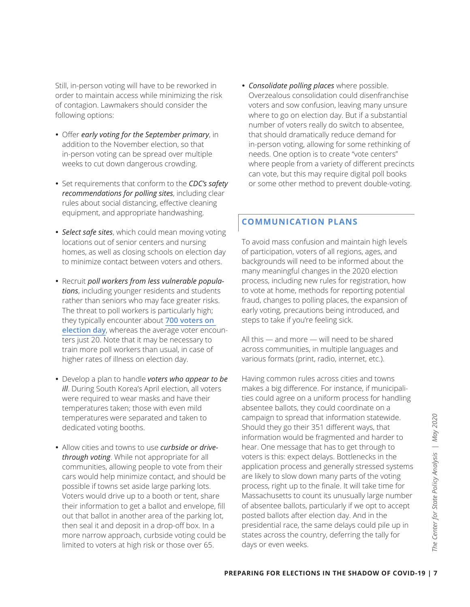Still, in-person voting will have to be reworked in order to maintain access while minimizing the risk of contagion. Lawmakers should consider the following options:

- Offer *early voting for the September primary*, in addition to the November election, so that in-person voting can be spread over multiple weeks to cut down dangerous crowding.
- Set requirements that conform to the *CDC's safety recommendations for polling sites*, including clear rules about social distancing, effective cleaning equipment, and appropriate handwashing.
- *Select safe sites*, which could mean moving voting locations out of senior centers and nursing homes, as well as closing schools on election day to minimize contact between voters and others.
- Recruit *poll workers from less vulnerable populations*, including younger residents and students rather than seniors who may face greater risks. The threat to poll workers is particularly high; they typically encounter about **[700 voters on](https://www.lawfareblog.com/ten-recommendations-ensure-healthy-and-trustworthy-2020-election)  [election day](https://www.lawfareblog.com/ten-recommendations-ensure-healthy-and-trustworthy-2020-election)**, whereas the average voter encounters just 20. Note that it may be necessary to train more poll workers than usual, in case of higher rates of illness on election day.
- Develop a plan to handle *voters who appear to be ill*. During South Korea's April election, all voters were required to wear masks and have their temperatures taken; those with even mild temperatures were separated and taken to dedicated voting booths.
- Allow cities and towns to use *curbside or drivethrough voting*. While not appropriate for all communities, allowing people to vote from their cars would help minimize contact, and should be possible if towns set aside large parking lots. Voters would drive up to a booth or tent, share their information to get a ballot and envelope, fill out that ballot in another area of the parking lot, then seal it and deposit in a drop-off box. In a more narrow approach, curbside voting could be limited to voters at high risk or those over 65.

 *Consolidate polling places* where possible. Overzealous consolidation could disenfranchise voters and sow confusion, leaving many unsure where to go on election day. But if a substantial number of voters really do switch to absentee, that should dramatically reduce demand for in-person voting, allowing for some rethinking of needs. One option is to create "vote centers" where people from a variety of different precincts can vote, but this may require digital poll books or some other method to prevent double-voting.

# **COMMUNICATION PLANS**

To avoid mass confusion and maintain high levels of participation, voters of all regions, ages, and backgrounds will need to be informed about the many meaningful changes in the 2020 election process, including new rules for registration, how to vote at home, methods for reporting potential fraud, changes to polling places, the expansion of early voting, precautions being introduced, and steps to take if you're feeling sick.

All this — and more — will need to be shared across communities, in multiple languages and various formats (print, radio, internet, etc.).

campaign to spread that information statewide.<br>
Should they go their 351 different ways, that<br>
information would be fragmented and harder to<br>
hear. One message that has to get through to<br>
voters is this: expect delays. Bot Having common rules across cities and towns makes a big difference. For instance, if municipalities could agree on a uniform process for handling absentee ballots, they could coordinate on a campaign to spread that information statewide. Should they go their 351 different ways, that information would be fragmented and harder to hear. One message that has to get through to voters is this: expect delays. Bottlenecks in the application process and generally stressed systems are likely to slow down many parts of the voting process, right up to the finale. It will take time for Massachusetts to count its unusually large number of absentee ballots, particularly if we opt to accept posted ballots after election day. And in the presidential race, the same delays could pile up in states across the country, deferring the tally for days or even weeks.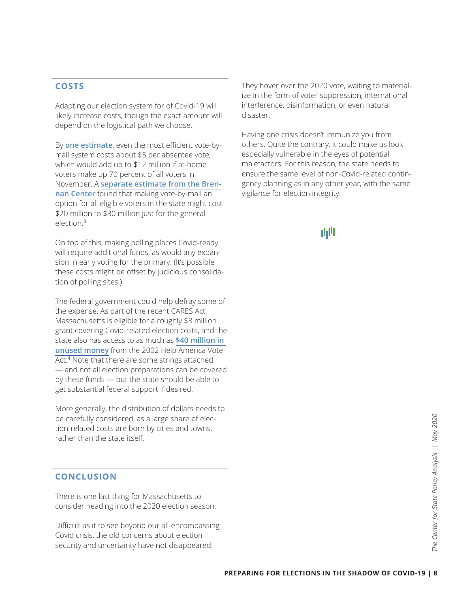# **COSTS**

Adapting our election system for of Covid-19 will likely increase costs, though the exact amount will depend on the logistical path we choose.

By **[one estimate](https://electionline.org/electionline-weekly/2020/04-23/)**, even the most efficient vote-bymail system costs about \$5 per absentee vote, which would add up to \$12 million if at-home voters make up 70 percent of all voters in November. A **[separate estimate from the Bren](https://www.brennancenter.org/our-work/research-reports/estimated-costs-covid-19-election-resiliency-measures)[nan Center](https://www.brennancenter.org/our-work/research-reports/estimated-costs-covid-19-election-resiliency-measures)** found that making vote-by-mail an option for all eligible voters in the state might cost \$20 million to \$30 million just for the general election.**<sup>3</sup>**

On top of this, making polling places Covid-ready will require additional funds, as would any expansion in early voting for the primary. (It's possible these costs might be offset by judicious consolidation of polling sites.)

The federal government could help defray some of the expense. As part of the recent CARES Act, Massachusetts is eligible for a roughly \$8 million grant covering Covid-related election costs, and the state also has access to as much as **[\\$40 million in](https://www.eac.gov/payments-and-grants/reports-on-state-expenditures)  [unused money](https://www.eac.gov/payments-and-grants/reports-on-state-expenditures)** from the 2002 Help America Vote Act.**<sup>4</sup>** Note that there are some strings attached — and not all election preparations can be covered by these funds — but the state should be able to get substantial federal support if desired.

More generally, the distribution of dollars needs to be carefully considered, as a large share of election-related costs are born by cities and towns, rather than the state itself.

# **CONCLUSION**

There is one last thing for Massachusetts to consider heading into the 2020 election season.

Difficult as it to see beyond our all-encompassing Covid crisis, the old concerns about election security and uncertainty have not disappeared.

They hover over the 2020 vote, waiting to materialize in the form of voter suppression, international interference, disinformation, or even natural disaster.

Having one crisis doesn't immunize you from others. Quite the contrary, it could make us look especially vulnerable in the eyes of potential malefactors. For this reason, the state needs to ensure the same level of non-Covid-related contingency planning as in any other year, with the same vigilance for election integrity.

# 曲川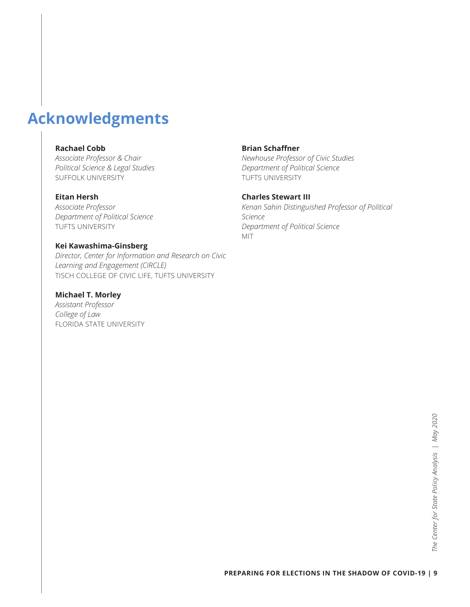# **Acknowledgments**

#### **Rachael Cobb**

*Associate Professor & Chair Political Science & Legal Studies* SUFFOLK UNIVERSITY

#### **Eitan Hersh**

*Associate Professor Department of Political Science* TUFTS UNIVERSITY

#### **Kei Kawashima-Ginsberg**

*Director, Center for Information and Research on Civic Learning and Engagement (CIRCLE)* TISCH COLLEGE OF CIVIC LIFE, TUFTS UNIVERSITY

## **Michael T. Morley**

*Assistant Professor College of Law* FLORIDA STATE UNIVERSITY

#### **Brian Schaffner**

*Newhouse Professor of Civic Studies Department of Political Science* TUFTS UNIVERSITY

#### **Charles Stewart III**

*Kenan Sahin Distinguished Professor of Political Science Department of Political Science* MIT